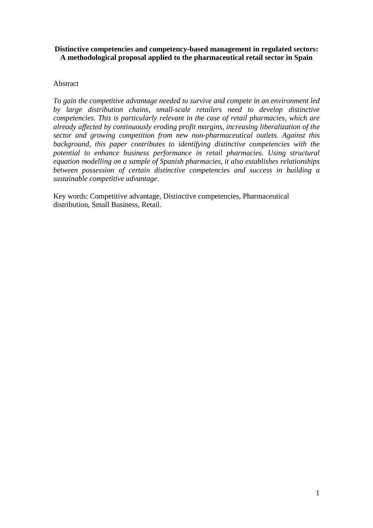## **Distinctive competencies and competency-based management in regulated sectors: A methodological proposal applied to the pharmaceutical retail sector in Spain**

## Abstract

*To gain the competitive advantage needed to survive and compete in an environment led by large distribution chains, small-scale retailers need to develop distinctive competencies. This is particularly relevant in the case of retail pharmacies, which are already affected by continuously eroding profit margins, increasing liberalization of the sector and growing competition from new non-pharmaceutical outlets. Against this background, this paper contributes to identifying distinctive competencies with the potential to enhance business performance in retail pharmacies. Using structural equation modelling on a sample of Spanish pharmacies, it also establishes relationships between possession of certain distinctive competencies and success in building a sustainable competitive advantage.* 

Key words: Competitive advantage, Distinctive competencies, Pharmaceutical distribution, Small Business, Retail.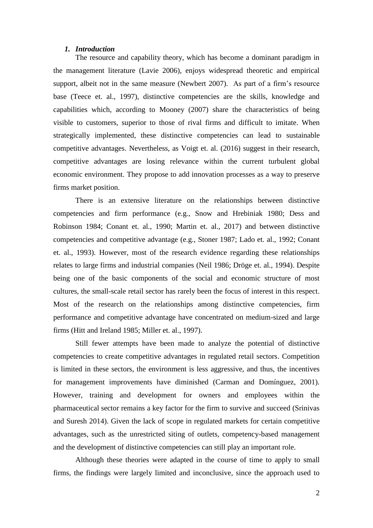#### *1. Introduction*

The resource and capability theory, which has become a dominant paradigm in the management literature (Lavie 2006), enjoys widespread theoretic and empirical support, albeit not in the same measure (Newbert 2007). As part of a firm's resource base (Teece et. al., 1997), distinctive competencies are the skills, knowledge and capabilities which, according to Mooney (2007) share the characteristics of being visible to customers, superior to those of rival firms and difficult to imitate. When strategically implemented, these distinctive competencies can lead to sustainable competitive advantages. Nevertheless, as Voigt et. al. (2016) suggest in their research, competitive advantages are losing relevance within the current turbulent global economic environment. They propose to add innovation processes as a way to preserve firms market position.

There is an extensive literature on the relationships between distinctive competencies and firm performance (e.g., Snow and Hrebiniak 1980; Dess and Robinson 1984; Conant et. al., 1990; Martin et. al., 2017) and between distinctive competencies and competitive advantage (e.g., Stoner 1987; Lado et. al., 1992; Conant et. al., 1993). However, most of the research evidence regarding these relationships relates to large firms and industrial companies (Neil 1986; Dröge et. al., 1994). Despite being one of the basic components of the social and economic structure of most cultures, the small-scale retail sector has rarely been the focus of interest in this respect. Most of the research on the relationships among distinctive competencies, firm performance and competitive advantage have concentrated on medium-sized and large firms (Hitt and Ireland 1985; Miller et. al., 1997).

Still fewer attempts have been made to analyze the potential of distinctive competencies to create competitive advantages in regulated retail sectors. Competition is limited in these sectors, the environment is less aggressive, and thus, the incentives for management improvements have diminished (Carman and Domínguez, 2001). However, training and development for owners and employees within the pharmaceutical sector remains a key factor for the firm to survive and succeed (Srinivas and Suresh 2014). Given the lack of scope in regulated markets for certain competitive advantages, such as the unrestricted siting of outlets, competency-based management and the development of distinctive competencies can still play an important role.

Although these theories were adapted in the course of time to apply to small firms, the findings were largely limited and inconclusive, since the approach used to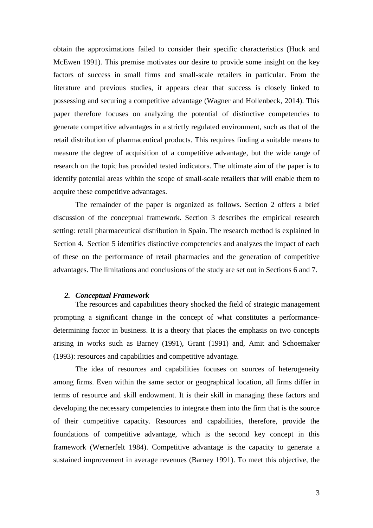obtain the approximations failed to consider their specific characteristics (Huck and McEwen 1991). This premise motivates our desire to provide some insight on the key factors of success in small firms and small-scale retailers in particular. From the literature and previous studies, it appears clear that success is closely linked to possessing and securing a competitive advantage (Wagner and Hollenbeck, 2014). This paper therefore focuses on analyzing the potential of distinctive competencies to generate competitive advantages in a strictly regulated environment, such as that of the retail distribution of pharmaceutical products. This requires finding a suitable means to measure the degree of acquisition of a competitive advantage, but the wide range of research on the topic has provided tested indicators. The ultimate aim of the paper is to identify potential areas within the scope of small-scale retailers that will enable them to acquire these competitive advantages.

The remainder of the paper is organized as follows. Section 2 offers a brief discussion of the conceptual framework. Section 3 describes the empirical research setting: retail pharmaceutical distribution in Spain. The research method is explained in Section 4. Section 5 identifies distinctive competencies and analyzes the impact of each of these on the performance of retail pharmacies and the generation of competitive advantages. The limitations and conclusions of the study are set out in Sections 6 and 7.

#### *2. Conceptual Framework*

The resources and capabilities theory shocked the field of strategic management prompting a significant change in the concept of what constitutes a performancedetermining factor in business. It is a theory that places the emphasis on two concepts arising in works such as Barney (1991), Grant (1991) and, Amit and Schoemaker (1993): resources and capabilities and competitive advantage.

The idea of resources and capabilities focuses on sources of heterogeneity among firms. Even within the same sector or geographical location, all firms differ in terms of resource and skill endowment. It is their skill in managing these factors and developing the necessary competencies to integrate them into the firm that is the source of their competitive capacity. Resources and capabilities, therefore, provide the foundations of competitive advantage, which is the second key concept in this framework (Wernerfelt 1984). Competitive advantage is the capacity to generate a sustained improvement in average revenues (Barney 1991). To meet this objective, the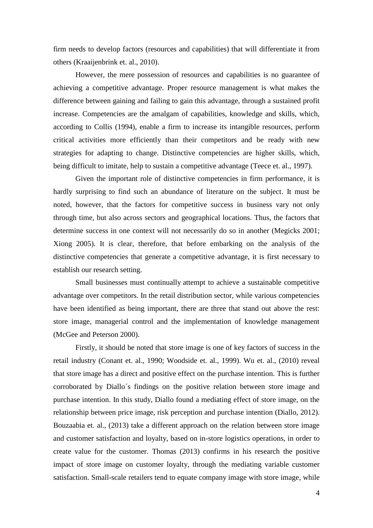firm needs to develop factors (resources and capabilities) that will differentiate it from others (Kraaijenbrink et. al., 2010).

However, the mere possession of resources and capabilities is no guarantee of achieving a competitive advantage. Proper resource management is what makes the difference between gaining and failing to gain this advantage, through a sustained profit increase. Competencies are the amalgam of capabilities, knowledge and skills, which, according to Collis (1994), enable a firm to increase its intangible resources, perform critical activities more efficiently than their competitors and be ready with new strategies for adapting to change. Distinctive competencies are higher skills, which, being difficult to imitate, help to sustain a competitive advantage (Teece et. al., 1997).

Given the important role of distinctive competencies in firm performance, it is hardly surprising to find such an abundance of literature on the subject. It must be noted, however, that the factors for competitive success in business vary not only through time, but also across sectors and geographical locations. Thus, the factors that determine success in one context will not necessarily do so in another (Megicks 2001; Xiong 2005). It is clear, therefore, that before embarking on the analysis of the distinctive competencies that generate a competitive advantage, it is first necessary to establish our research setting.

Small businesses must continually attempt to achieve a sustainable competitive advantage over competitors. In the retail distribution sector, while various competencies have been identified as being important, there are three that stand out above the rest: store image, managerial control and the implementation of knowledge management (McGee and Peterson 2000).

Firstly, it should be noted that store image is one of key factors of success in the retail industry (Conant et. al., 1990; Woodside et. al., 1999). Wu et. al., (2010) reveal that store image has a direct and positive effect on the purchase intention. This is further corroborated by Diallo´s findings on the positive relation between store image and purchase intention. In this study, Diallo found a mediating effect of store image, on the relationship between price image, risk perception and purchase intention (Diallo, 2012). Bouzaabia et. al., (2013) take a different approach on the relation between store image and customer satisfaction and loyalty, based on in-store logistics operations, in order to create value for the customer. Thomas (2013) confirms in his research the positive impact of store image on customer loyalty, through the mediating variable customer satisfaction. Small-scale retailers tend to equate company image with store image, while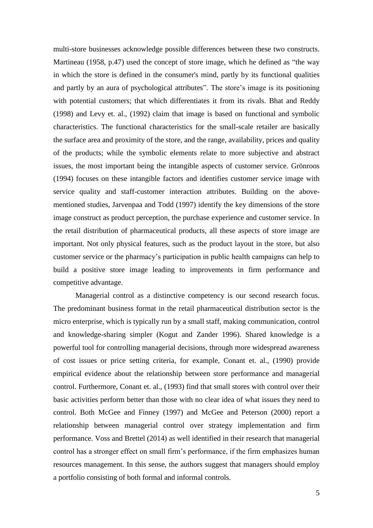multi-store businesses acknowledge possible differences between these two constructs. Martineau (1958, p.47) used the concept of store image, which he defined as "the way in which the store is defined in the consumer's mind, partly by its functional qualities and partly by an aura of psychological attributes". The store's image is its positioning with potential customers; that which differentiates it from its rivals. Bhat and Reddy (1998) and Levy et. al., (1992) claim that image is based on functional and symbolic characteristics. The functional characteristics for the small-scale retailer are basically the surface area and proximity of the store, and the range, availability, prices and quality of the products; while the symbolic elements relate to more subjective and abstract issues, the most important being the intangible aspects of customer service. Grönroos (1994) focuses on these intangible factors and identifies customer service image with service quality and staff-customer interaction attributes. Building on the abovementioned studies, Jarvenpaa and Todd (1997) identify the key dimensions of the store image construct as product perception, the purchase experience and customer service. In the retail distribution of pharmaceutical products, all these aspects of store image are important. Not only physical features, such as the product layout in the store, but also customer service or the pharmacy's participation in public health campaigns can help to build a positive store image leading to improvements in firm performance and competitive advantage.

Managerial control as a distinctive competency is our second research focus. The predominant business format in the retail pharmaceutical distribution sector is the micro enterprise, which is typically run by a small staff, making communication, control and knowledge-sharing simpler (Kogut and Zander 1996). Shared knowledge is a powerful tool for controlling managerial decisions, through more widespread awareness of cost issues or price setting criteria, for example, Conant et. al., (1990) provide empirical evidence about the relationship between store performance and managerial control. Furthermore, Conant et. al., (1993) find that small stores with control over their basic activities perform better than those with no clear idea of what issues they need to control. Both McGee and Finney (1997) and McGee and Peterson (2000) report a relationship between managerial control over strategy implementation and firm performance. Voss and Brettel (2014) as well identified in their research that managerial control has a stronger effect on small firm's performance, if the firm emphasizes human resources management. In this sense, the authors suggest that managers should employ a portfolio consisting of both formal and informal controls.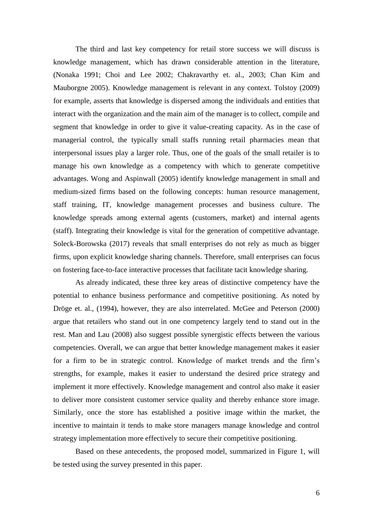The third and last key competency for retail store success we will discuss is knowledge management, which has drawn considerable attention in the literature, (Nonaka 1991; Choi and Lee 2002; Chakravarthy et. al., 2003; Chan Kim and Mauborgne 2005). Knowledge management is relevant in any context. Tolstoy (2009) for example, asserts that knowledge is dispersed among the individuals and entities that interact with the organization and the main aim of the manager is to collect, compile and segment that knowledge in order to give it value-creating capacity. As in the case of managerial control, the typically small staffs running retail pharmacies mean that interpersonal issues play a larger role. Thus, one of the goals of the small retailer is to manage his own knowledge as a competency with which to generate competitive advantages. Wong and Aspinwall (2005) identify knowledge management in small and medium-sized firms based on the following concepts: human resource management, staff training, IT, knowledge management processes and business culture. The knowledge spreads among external agents (customers, market) and internal agents (staff). Integrating their knowledge is vital for the generation of competitive advantage. Soleck-Borowska (2017) reveals that small enterprises do not rely as much as bigger firms, upon explicit knowledge sharing channels. Therefore, small enterprises can focus on fostering face-to-face interactive processes that facilitate tacit knowledge sharing.

As already indicated, these three key areas of distinctive competency have the potential to enhance business performance and competitive positioning. As noted by Dröge et. al., (1994), however, they are also interrelated. McGee and Peterson (2000) argue that retailers who stand out in one competency largely tend to stand out in the rest. Man and Lau (2008) also suggest possible synergistic effects between the various competencies. Overall, we can argue that better knowledge management makes it easier for a firm to be in strategic control. Knowledge of market trends and the firm's strengths, for example, makes it easier to understand the desired price strategy and implement it more effectively. Knowledge management and control also make it easier to deliver more consistent customer service quality and thereby enhance store image. Similarly, once the store has established a positive image within the market, the incentive to maintain it tends to make store managers manage knowledge and control strategy implementation more effectively to secure their competitive positioning.

Based on these antecedents, the proposed model, summarized in Figure 1, will be tested using the survey presented in this paper.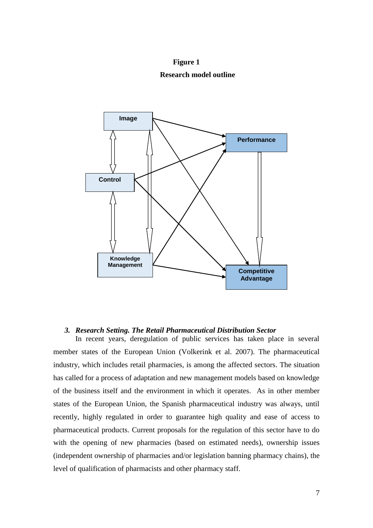**Figure 1 Research model outline**



#### *3. Research Setting. The Retail Pharmaceutical Distribution Sector*

In recent years, deregulation of public services has taken place in several member states of the European Union (Volkerink et al. 2007). The pharmaceutical industry, which includes retail pharmacies, is among the affected sectors. The situation has called for a process of adaptation and new management models based on knowledge of the business itself and the environment in which it operates. As in other member states of the European Union, the Spanish pharmaceutical industry was always, until recently, highly regulated in order to guarantee high quality and ease of access to pharmaceutical products. Current proposals for the regulation of this sector have to do with the opening of new pharmacies (based on estimated needs), ownership issues (independent ownership of pharmacies and/or legislation banning pharmacy chains), the level of qualification of pharmacists and other pharmacy staff.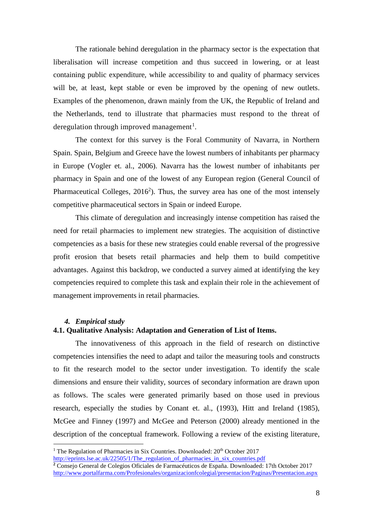The rationale behind deregulation in the pharmacy sector is the expectation that liberalisation will increase competition and thus succeed in lowering, or at least containing public expenditure, while accessibility to and quality of pharmacy services will be, at least, kept stable or even be improved by the opening of new outlets. Examples of the phenomenon, drawn mainly from the UK, the Republic of Ireland and the Netherlands, tend to illustrate that pharmacies must respond to the threat of deregulation through improved management<sup>1</sup>.

The context for this survey is the Foral Community of Navarra, in Northern Spain. Spain, Belgium and Greece have the lowest numbers of inhabitants per pharmacy in Europe (Vogler et. al., 2006). Navarra has the lowest number of inhabitants per pharmacy in Spain and one of the lowest of any European region (General Council of Pharmaceutical Colleges, 2016<sup>2</sup>). Thus, the survey area has one of the most intensely competitive pharmaceutical sectors in Spain or indeed Europe.

This climate of deregulation and increasingly intense competition has raised the need for retail pharmacies to implement new strategies. The acquisition of distinctive competencies as a basis for these new strategies could enable reversal of the progressive profit erosion that besets retail pharmacies and help them to build competitive advantages. Against this backdrop, we conducted a survey aimed at identifying the key competencies required to complete this task and explain their role in the achievement of management improvements in retail pharmacies.

#### *4. Empirical study*

1

#### **4.1. Qualitative Analysis: Adaptation and Generation of List of Items.**

The innovativeness of this approach in the field of research on distinctive competencies intensifies the need to adapt and tailor the measuring tools and constructs to fit the research model to the sector under investigation. To identify the scale dimensions and ensure their validity, sources of secondary information are drawn upon as follows. The scales were generated primarily based on those used in previous research, especially the studies by Conant et. al., (1993), Hitt and Ireland (1985), McGee and Finney (1997) and McGee and Peterson (2000) already mentioned in the description of the conceptual framework. Following a review of the existing literature,

<sup>&</sup>lt;sup>1</sup> The Regulation of Pharmacies in Six Countries. Downloaded:  $20<sup>th</sup>$  October 2017

[http://eprints.lse.ac.uk/22505/1/The\\_regulation\\_of\\_pharmacies\\_in\\_six\\_countries.pdf](http://eprints.lse.ac.uk/22505/1/The_regulation_of_pharmacies_in_six_countries.pdf)

**<sup>2</sup>** Consejo General de Colegios Oficiales de Farmacéuticos de España. Downloaded: 17th October 2017 <http://www.portalfarma.com/Profesionales/organizacionfcolegial/presentacion/Paginas/Presentacion.aspx>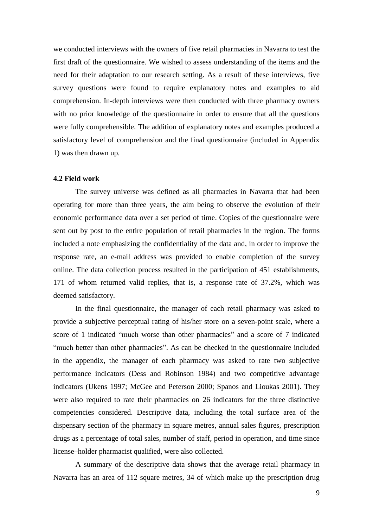we conducted interviews with the owners of five retail pharmacies in Navarra to test the first draft of the questionnaire. We wished to assess understanding of the items and the need for their adaptation to our research setting. As a result of these interviews, five survey questions were found to require explanatory notes and examples to aid comprehension. In-depth interviews were then conducted with three pharmacy owners with no prior knowledge of the questionnaire in order to ensure that all the questions were fully comprehensible. The addition of explanatory notes and examples produced a satisfactory level of comprehension and the final questionnaire (included in Appendix 1) was then drawn up.

#### **4.2 Field work**

The survey universe was defined as all pharmacies in Navarra that had been operating for more than three years, the aim being to observe the evolution of their economic performance data over a set period of time. Copies of the questionnaire were sent out by post to the entire population of retail pharmacies in the region. The forms included a note emphasizing the confidentiality of the data and, in order to improve the response rate, an e-mail address was provided to enable completion of the survey online. The data collection process resulted in the participation of 451 establishments, 171 of whom returned valid replies, that is, a response rate of 37.2%, which was deemed satisfactory.

In the final questionnaire, the manager of each retail pharmacy was asked to provide a subjective perceptual rating of his/her store on a seven-point scale, where a score of 1 indicated "much worse than other pharmacies" and a score of 7 indicated "much better than other pharmacies". As can be checked in the questionnaire included in the appendix, the manager of each pharmacy was asked to rate two subjective performance indicators (Dess and Robinson 1984) and two competitive advantage indicators (Ukens 1997; McGee and Peterson 2000; Spanos and Lioukas 2001). They were also required to rate their pharmacies on 26 indicators for the three distinctive competencies considered. Descriptive data, including the total surface area of the dispensary section of the pharmacy in square metres, annual sales figures, prescription drugs as a percentage of total sales, number of staff, period in operation, and time since license–holder pharmacist qualified, were also collected.

A summary of the descriptive data shows that the average retail pharmacy in Navarra has an area of 112 square metres, 34 of which make up the prescription drug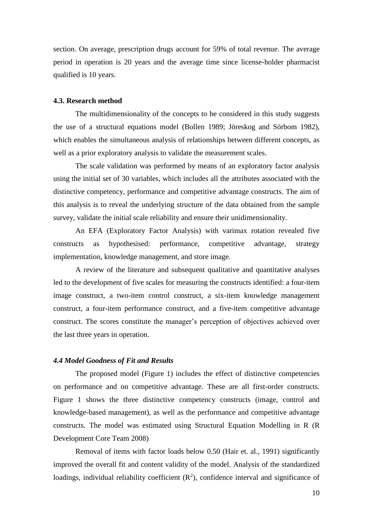section. On average, prescription drugs account for 59% of total revenue. The average period in operation is 20 years and the average time since license-holder pharmacist qualified is 10 years.

#### **4.3. Research method**

The multidimensionality of the concepts to be considered in this study suggests the use of a structural equations model (Bollen 1989; Jöreskog and Sörbom 1982), which enables the simultaneous analysis of relationships between different concepts, as well as a prior exploratory analysis to validate the measurement scales.

The scale validation was performed by means of an exploratory factor analysis using the initial set of 30 variables, which includes all the attributes associated with the distinctive competency, performance and competitive advantage constructs. The aim of this analysis is to reveal the underlying structure of the data obtained from the sample survey, validate the initial scale reliability and ensure their unidimensionality.

An EFA (Exploratory Factor Analysis) with varimax rotation revealed five constructs as hypothesised: performance, competitive advantage, strategy implementation, knowledge management, and store image.

A review of the literature and subsequent qualitative and quantitative analyses led to the development of five scales for measuring the constructs identified: a four-item image construct, a two-item control construct, a six-item knowledge management construct, a four-item performance construct, and a five-item competitive advantage construct. The scores constitute the manager's perception of objectives achieved over the last three years in operation.

#### *4.4 Model Goodness of Fit and Results*

The proposed model (Figure 1) includes the effect of distinctive competencies on performance and on competitive advantage. These are all first-order constructs. Figure 1 shows the three distinctive competency constructs (image, control and knowledge-based management), as well as the performance and competitive advantage constructs. The model was estimated using Structural Equation Modelling in R (R Development Core Team 2008)

Removal of items with factor loads below 0.50 (Hair et. al., 1991) significantly improved the overall fit and content validity of the model. Analysis of the standardized loadings, individual reliability coefficient  $(R^2)$ , confidence interval and significance of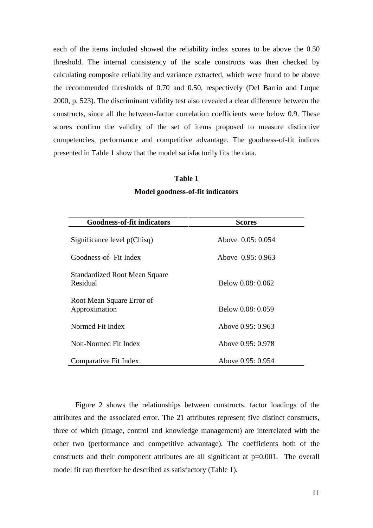each of the items included showed the reliability index scores to be above the 0.50 threshold. The internal consistency of the scale constructs was then checked by calculating composite reliability and variance extracted, which were found to be above the recommended thresholds of 0.70 and 0.50, respectively (Del Barrio and Luque 2000, p. 523). The discriminant validity test also revealed a clear difference between the constructs, since all the between-factor correlation coefficients were below 0.9. These scores confirm the validity of the set of items proposed to measure distinctive competencies, performance and competitive advantage. The goodness-of-fit indices presented in Table 1 show that the model satisfactorily fits the data.

# **Table 1 Model goodness-of-fit indicators**

| <b>Goodness-of-fit indicators</b>                | <b>Scores</b>     |  |  |  |  |
|--------------------------------------------------|-------------------|--|--|--|--|
| Significance level $p(Chisq)$                    | Above 0.05: 0.054 |  |  |  |  |
| Goodness-of- Fit Index                           | Above 0.95: 0.963 |  |  |  |  |
| <b>Standardized Root Mean Square</b><br>Residual | Below 0.08: 0.062 |  |  |  |  |
| Root Mean Square Error of<br>Approximation       | Below 0.08: 0.059 |  |  |  |  |
| Normed Fit Index                                 | Above 0.95: 0.963 |  |  |  |  |
| Non-Normed Fit Index                             | Above 0.95: 0.978 |  |  |  |  |
| Comparative Fit Index                            | Above 0.95: 0.954 |  |  |  |  |

Figure 2 shows the relationships between constructs, factor loadings of the attributes and the associated error. The 21 attributes represent five distinct constructs, three of which (image, control and knowledge management) are interrelated with the other two (performance and competitive advantage). The coefficients both of the constructs and their component attributes are all significant at p=0.001. The overall model fit can therefore be described as satisfactory (Table 1).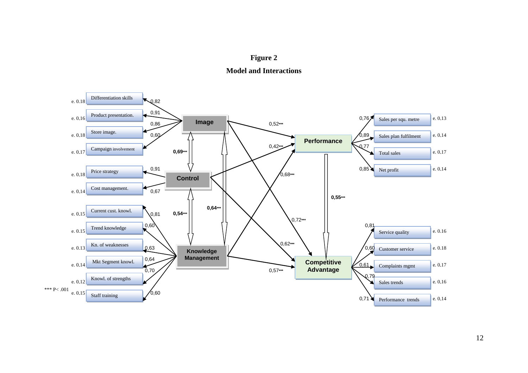



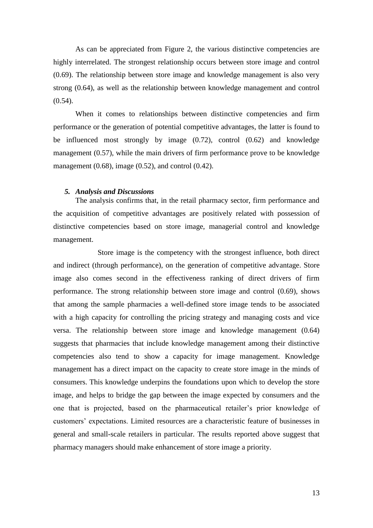As can be appreciated from Figure 2, the various distinctive competencies are highly interrelated. The strongest relationship occurs between store image and control (0.69). The relationship between store image and knowledge management is also very strong (0.64), as well as the relationship between knowledge management and control  $(0.54)$ .

When it comes to relationships between distinctive competencies and firm performance or the generation of potential competitive advantages, the latter is found to be influenced most strongly by image (0.72), control (0.62) and knowledge management (0.57), while the main drivers of firm performance prove to be knowledge management  $(0.68)$ , image  $(0.52)$ , and control  $(0.42)$ .

#### *5. Analysis and Discussions*

The analysis confirms that, in the retail pharmacy sector, firm performance and the acquisition of competitive advantages are positively related with possession of distinctive competencies based on store image, managerial control and knowledge management.

Store image is the competency with the strongest influence, both direct and indirect (through performance), on the generation of competitive advantage. Store image also comes second in the effectiveness ranking of direct drivers of firm performance. The strong relationship between store image and control (0.69), shows that among the sample pharmacies a well-defined store image tends to be associated with a high capacity for controlling the pricing strategy and managing costs and vice versa. The relationship between store image and knowledge management (0.64) suggests that pharmacies that include knowledge management among their distinctive competencies also tend to show a capacity for image management. Knowledge management has a direct impact on the capacity to create store image in the minds of consumers. This knowledge underpins the foundations upon which to develop the store image, and helps to bridge the gap between the image expected by consumers and the one that is projected, based on the pharmaceutical retailer's prior knowledge of customers' expectations. Limited resources are a characteristic feature of businesses in general and small-scale retailers in particular. The results reported above suggest that pharmacy managers should make enhancement of store image a priority.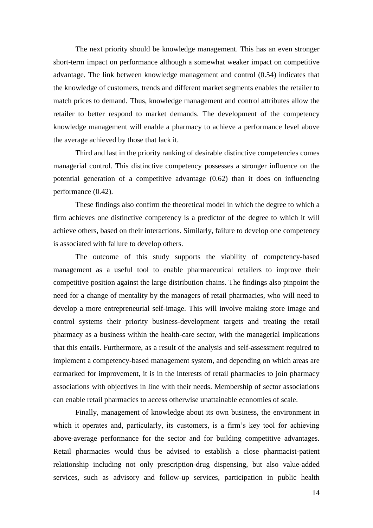The next priority should be knowledge management. This has an even stronger short-term impact on performance although a somewhat weaker impact on competitive advantage. The link between knowledge management and control (0.54) indicates that the knowledge of customers, trends and different market segments enables the retailer to match prices to demand. Thus, knowledge management and control attributes allow the retailer to better respond to market demands. The development of the competency knowledge management will enable a pharmacy to achieve a performance level above the average achieved by those that lack it.

Third and last in the priority ranking of desirable distinctive competencies comes managerial control. This distinctive competency possesses a stronger influence on the potential generation of a competitive advantage (0.62) than it does on influencing performance (0.42).

These findings also confirm the theoretical model in which the degree to which a firm achieves one distinctive competency is a predictor of the degree to which it will achieve others, based on their interactions. Similarly, failure to develop one competency is associated with failure to develop others.

The outcome of this study supports the viability of competency-based management as a useful tool to enable pharmaceutical retailers to improve their competitive position against the large distribution chains. The findings also pinpoint the need for a change of mentality by the managers of retail pharmacies, who will need to develop a more entrepreneurial self-image. This will involve making store image and control systems their priority business-development targets and treating the retail pharmacy as a business within the health-care sector, with the managerial implications that this entails. Furthermore, as a result of the analysis and self-assessment required to implement a competency-based management system, and depending on which areas are earmarked for improvement, it is in the interests of retail pharmacies to join pharmacy associations with objectives in line with their needs. Membership of sector associations can enable retail pharmacies to access otherwise unattainable economies of scale.

Finally, management of knowledge about its own business, the environment in which it operates and, particularly, its customers, is a firm's key tool for achieving above-average performance for the sector and for building competitive advantages. Retail pharmacies would thus be advised to establish a close pharmacist-patient relationship including not only prescription-drug dispensing, but also value-added services, such as advisory and follow-up services, participation in public health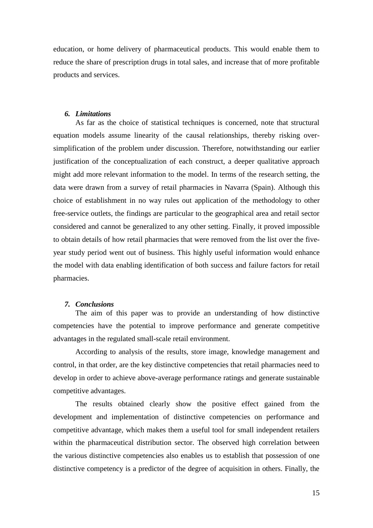education, or home delivery of pharmaceutical products. This would enable them to reduce the share of prescription drugs in total sales, and increase that of more profitable products and services.

### *6. Limitations*

As far as the choice of statistical techniques is concerned, note that structural equation models assume linearity of the causal relationships, thereby risking oversimplification of the problem under discussion. Therefore, notwithstanding our earlier justification of the conceptualization of each construct, a deeper qualitative approach might add more relevant information to the model. In terms of the research setting, the data were drawn from a survey of retail pharmacies in Navarra (Spain). Although this choice of establishment in no way rules out application of the methodology to other free-service outlets, the findings are particular to the geographical area and retail sector considered and cannot be generalized to any other setting. Finally, it proved impossible to obtain details of how retail pharmacies that were removed from the list over the fiveyear study period went out of business. This highly useful information would enhance the model with data enabling identification of both success and failure factors for retail pharmacies.

#### *7. Conclusions*

The aim of this paper was to provide an understanding of how distinctive competencies have the potential to improve performance and generate competitive advantages in the regulated small-scale retail environment.

According to analysis of the results, store image, knowledge management and control, in that order, are the key distinctive competencies that retail pharmacies need to develop in order to achieve above-average performance ratings and generate sustainable competitive advantages.

The results obtained clearly show the positive effect gained from the development and implementation of distinctive competencies on performance and competitive advantage, which makes them a useful tool for small independent retailers within the pharmaceutical distribution sector. The observed high correlation between the various distinctive competencies also enables us to establish that possession of one distinctive competency is a predictor of the degree of acquisition in others. Finally, the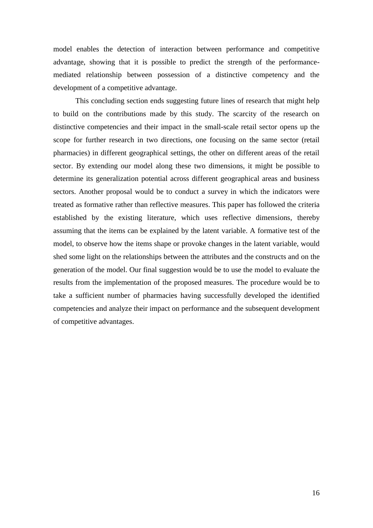model enables the detection of interaction between performance and competitive advantage, showing that it is possible to predict the strength of the performancemediated relationship between possession of a distinctive competency and the development of a competitive advantage.

This concluding section ends suggesting future lines of research that might help to build on the contributions made by this study. The scarcity of the research on distinctive competencies and their impact in the small-scale retail sector opens up the scope for further research in two directions, one focusing on the same sector (retail pharmacies) in different geographical settings, the other on different areas of the retail sector. By extending our model along these two dimensions, it might be possible to determine its generalization potential across different geographical areas and business sectors. Another proposal would be to conduct a survey in which the indicators were treated as formative rather than reflective measures. This paper has followed the criteria established by the existing literature, which uses reflective dimensions, thereby assuming that the items can be explained by the latent variable. A formative test of the model, to observe how the items shape or provoke changes in the latent variable, would shed some light on the relationships between the attributes and the constructs and on the generation of the model. Our final suggestion would be to use the model to evaluate the results from the implementation of the proposed measures. The procedure would be to take a sufficient number of pharmacies having successfully developed the identified competencies and analyze their impact on performance and the subsequent development of competitive advantages.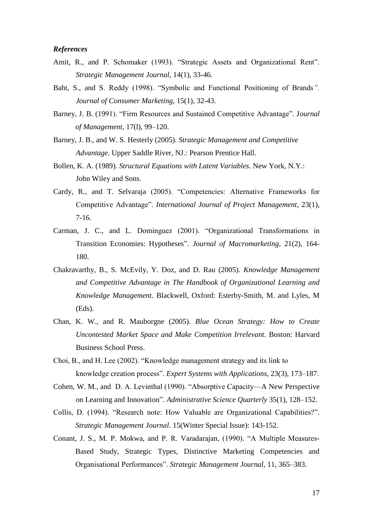#### *References*

- Amit, R., and P. Schomaker (1993). "Strategic Assets and Organizational Rent". *Strategic Management Journal*, 14(1), 33-46.
- Baht, S., and S. Reddy (1998). "Symbolic and Functional Positioning of Brands*". Journal of Consumer Marketing*, 15(1), 32-43.
- Barney, J. B. (1991). "Firm Resources and Sustained Competitive Advantage". J*ournal of Management*, 17(l), 99–120.
- Barney, J. B., and W. S. Hesterly (2005). *Strategic Management and Competitive Advantage*. Upper Saddle River, NJ.: Pearson Prentice Hall.
- Bollen, K. A. (1989). *Structural Equations with Latent Variables.* New York, N.Y.: John Wiley and Sons.
- Cardy*,* R*.,* and T. Selvaraja (2005). "Competencies: Alternative Frameworks for Competitive Advantage". *International Journal of Project Management*, 23(1), 7-16.
- Carman, J. C., and L. Dominguez (2001). "Organizational Transformations in Transition Economies: Hypotheses". *Journal of Macromarketing,* 21(2), 164- 180.
- Chakravarthy, B., S. McEvily, Y. Doz, and D. Rau (2005). *Knowledge Management and Competitive Advantage in The Handbook of Organizational Learning and Knowledge Management.* Blackwell, Oxford: Esterby-Smith, M. and Lyles, M (Eds).
- Chan, K. W., and R. Mauborgne (2005). *Blue Ocean Strategy: How to Create Uncontested Market Space and Make Competition Irrelevant.* Boston: Harvard Business School Press.
- Choi, B., and H. Lee (2002). "Knowledge management strategy and its link to knowledge creation process". *Expert Systems with Applications*, 23(3), 173–187.
- Cohen, W. M., and D. A. Levinthal (1990). "Absorptive Capacity—A New Perspective on Learning and Innovation". *Administrative Science Quarterly* 35(1), 128–152.
- Collis, D. (1994). "Research note: How Valuable are Organizational Capabilities?". *Strategic Management Journal*. 15(Winter Special Issue): 143-152.
- Conant, J. S., M. P. Mokwa, and P. R. Varadarajan, (1990). "A Multiple Measures-Based Study, Strategic Types, Distinctive Marketing Competencies and Organisational Performances". *Strategic Management Journal,* 11, 365–383.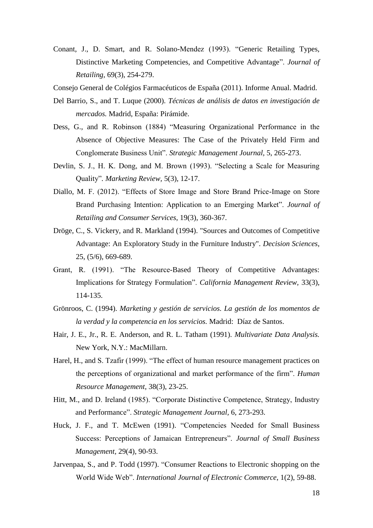Conant, J., D. Smart, and R. Solano-Mendez (1993). "Generic Retailing Types, Distinctive Marketing Competencies, and Competitive Advantage". *Journal of Retailing,* 69(3), 254-279.

Consejo General de Colégios Farmacéuticos de España (2011). Informe Anual. Madrid.

- Del Barrio, S., and T. Luque (2000). *Técnicas de análisis de datos en investigación de mercados.* Madrid, España: Pirámide.
- Dess, G., and R. Robinson (1884) "Measuring Organizational Performance in the Absence of Objective Measures: The Case of the Privately Held Firm and Conglomerate Business Unit". *Strategic Management Journal,* 5, 265-273.
- Devlin, S. J., H. K. Dong, and M. Brown (1993). "Selecting a Scale for Measuring Quality"*. Marketing Review,* 5(3), 12-17.
- Diallo, M. F. (2012). "Effects of Store Image and Store Brand Price-Image on Store Brand Purchasing Intention: Application to an Emerging Market". *Journal of Retailing and Consumer Services*, 19(3), 360-367.
- Dröge, C., S. Vickery, and R. Markland (1994). "Sources and Outcomes of Competitive Advantage: An Exploratory Study in the Furniture Industry". *Decision Sciences*, 25, (5/6), 669-689.
- Grant, R. (1991). "The Resource-Based Theory of Competitive Advantages: Implications for Strategy Formulation". *California Management Review,* 33(3), 114-135.
- Grönroos, C. (1994). *Marketing y gestión de servicios. La gestión de los momentos de la verdad y la competencia en los servicios.* Madrid: Díaz de Santos.
- Hair, J. E., Jr., R. E. Anderson, and R. L. Tatham (1991). *Multivariate Data Analysis.*  New York, N.Y.: MacMillarn.
- Harel, H., and S. Tzafir (1999). "The effect of human resource management practices on the perceptions of organizational and market performance of the firm". *Human Resource Management*, 38(3), 23-25.
- Hitt, M., and D. Ireland (1985). "Corporate Distinctive Competence, Strategy, Industry and Performance". *Strategic Management Journal,* 6, 273-293.
- Huck, J. F., and T. McEwen (1991). "Competencies Needed for Small Business Success: Perceptions of Jamaican Entrepreneurs". *Journal of Small Business Management,* 29(4), 90-93.
- Jarvenpaa, S., and P. Todd (1997). "Consumer Reactions to Electronic shopping on the World Wide Web". *International Journal of Electronic Commerce*, 1(2), 59-88.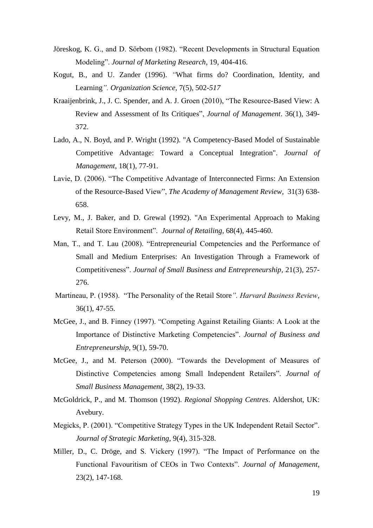- Jöreskog, K. G., and D. Sörbom (1982). "Recent Developments in Structural Equation Modeling". *Journal of Marketing Research*, 19, 404-416.
- Kogut*,* B*.,* and U. Zander (1996). *"*What firms do? Coordination*,* Identity*,* and Learning*". Organization Science,* 7(5), 502*-517*
- Kraaijenbrink, J., J. C. Spender, and A. J. Groen (2010), "The Resource-Based View: A Review and Assessment of Its Critiques", *Journal of Management*. 36(1), 349- 372.
- Lado, A., N. Boyd, and P. Wright (1992). "A Competency-Based Model of Sustainable Competitive Advantage: Toward a Conceptual Integration". *Journal of Management*, 18(1), 77-91.
- Lavie, D. (2006). "The Competitive Advantage of Interconnected Firms: An Extension of the Resource-Based View", *[The Academy of Management Review,](http://www.jstor.org/action/showPublication?journalCode=acadmanarevi)* 31(3) 638- 658.
- Levy, M., J. Baker, and D. Grewal (1992). "An Experimental Approach to Making Retail Store Environment". *Journal of Retailing,* 68(4), 445-460.
- Man, T., and T. Lau (2008). "Entrepreneurial Competencies and the Performance of Small and Medium Enterprises: An Investigation Through a Framework of Competitiveness". *Journal of Small Business and Entrepreneurship,* 21(3), 257- 276.
- Martineau, P. (1958). "The Personality of the Retail Store*". Harvard Business Review*, 36(1), 47-55.
- McGee, J., and B. Finney (1997). "Competing Against Retailing Giants: A Look at the Importance of Distinctive Marketing Competencies". *Journal of Business and Entrepreneurship,* 9(1), 59-70.
- McGee, J., and M. Peterson (2000). "Towards the Development of Measures of Distinctive Competencies among Small Independent Retailers". *Journal of Small Business Management*, 38(2), 19-33.
- McGoldrick, P., and M. Thomson (1992). *Regional Shopping Centres*. Aldershot, UK: Avebury.
- Megicks, P. (2001). "Competitive Strategy Types in the UK Independent Retail Sector". *Journal of Strategic Marketing,* 9(4), 315-328.
- Miller, D., C. Dröge, and S. Vickery (1997). "The Impact of Performance on the Functional Favouritism of CEOs in Two Contexts". *Journal of Management*, 23(2), 147-168.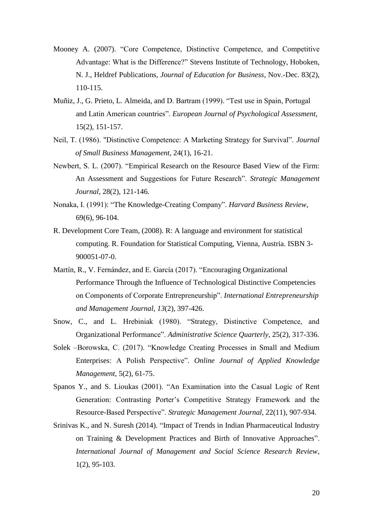- Mooney A. (2007). "Core Competence, Distinctive Competence, and Competitive Advantage: What is the Difference?" Stevens Institute of Technology, Hoboken, N. J., Heldref Publications, *Journal of Education for Business,* Nov.-Dec. 83(2), 110-115.
- Muñiz, J., G. Prieto, L. Almeida, and D. Bartram (1999). "Test use in Spain, Portugal and Latin American countries". *European Journal of Psychological Assessment*, 15(2), 151-157.
- Neil, T. (1986). "Distinctive Competence: A Marketing Strategy for Survival". *Journal of Small Business Management,* 24(1), 16-21.
- Newbert, S. L. (2007). "Empirical Research on the Resource Based View of the Firm: An Assessment and Suggestions for Future Research". *Strategic Management Journal*, 28(2), 121-146.
- Nonaka, I. (1991): "The Knowledge-Creating Company". *Harvard Business Review*, 69(6), 96-104.
- R. Development Core Team, (2008). R: A language and environment for statistical computing. R. Foundation for Statistical Computing, Vienna, Austria. ISBN 3- 900051-07-0.
- Martín, R., V. Fernández, and E. García (2017). "Encouraging Organizational Performance Through the Influence of Technological Distinctive Competencies on Components of Corporate Entrepreneurship". *International Entrepreneurship and Management Journal*, *13*(2), 397-426.
- Snow, C., and L. Hrebiniak (1980). "Strategy, Distinctive Competence, and Organizational Performance". *Administrative Science Quarterly*, 25(2), 317-336.
- Solek –Borowska, C. (2017). "Knowledge Creating Processes in Small and Medium Enterprises: A Polish Perspective". *Online Journal of Applied Knowledge Management*, 5(2), 61-75.
- Spanos Y., and S. Lioukas (2001). "An Examination into the Casual Logic of Rent Generation: Contrasting Porter's Competitive Strategy Framework and the Resource-Based Perspective". *Strategic Management Journal*, 22(11), 907-934.
- Srinivas K., and N. Suresh (2014). "Impact of Trends in Indian Pharmaceutical Industry on Training & Development Practices and Birth of Innovative Approaches". *International Journal of Management and Social Science Research Review*, 1(2), 95-103.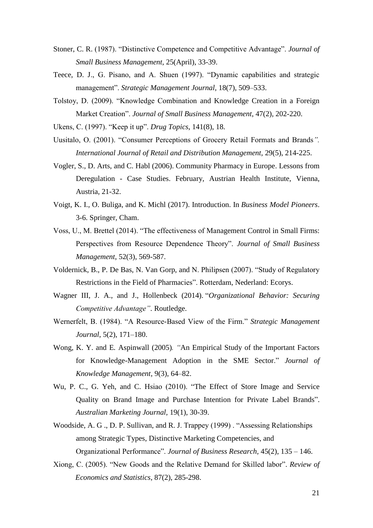- Stoner, C. R. (1987). "Distinctive Competence and Competitive Advantage". *Journal of Small Business Management*, 25(April), 33-39.
- Teece, D. J., G. Pisano, and A. Shuen (1997). "Dynamic capabilities and strategic management". *Strategic Management Journal,* 18(7), 509–533.
- Tolstoy, D. (2009). "Knowledge Combination and Knowledge Creation in a Foreign Market Creation". *Journal of Small Business Management*, 47(2), 202-220.
- Ukens, C. (1997). "Keep it up". *Drug Topics*, 141(8), 18.
- Uusitalo, O. (2001). "Consumer Perceptions of Grocery Retail Formats and Brands*". International Journal of Retail and Distribution Management,* 29(5), 214-225.
- Vogler, S., D. Arts, and C. Habl (2006). Community Pharmacy in Europe. Lessons from Deregulation - Case Studies. February, Austrian Health Institute, Vienna, Austria, 21-32.
- Voigt, K. I., O. Buliga, and K. Michl (2017). Introduction. In *Business Model Pioneers*. 3-6. Springer, Cham.
- Voss, U., M. Brettel (2014). "The effectiveness of Management Control in Small Firms: Perspectives from Resource Dependence Theory". *Journal of Small Business Management*, 52(3), 569-587.
- Voldernick, B., P. De Bas, N. Van Gorp, and N. Philipsen (2007). "Study of Regulatory Restrictions in the Field of Pharmacies". Rotterdam, Nederland: Ecorys.
- Wagner III, J. A., and J., Hollenbeck (2014). "*Organizational Behavior: Securing Competitive Advantage"*. Routledge.
- Wernerfelt, B. (1984). "A Resource-Based View of the Firm." *Strategic Management Journal*, 5(2), 171–180.
- Wong, K. Y. and E*.* Aspinwall (2005)*. "*An Empirical Study of the Important Factors for Knowledge-Management Adoption in the SME Sector." *Journal of Knowledge Management*, 9(3), 64–82.
- Wu, P. C., G. Yeh, and C. Hsiao (2010). "The Effect of Store Image and Service Quality on Brand Image and Purchase Intention for Private Label Brands". *Australian Marketing Journal,* 19(1), 30-39.
- Woodside, A. G ., D. P. Sullivan, and R. J. Trappey (1999) . "Assessing Relationships among Strategic Types, Distinctive Marketing Competencies, and Organizational Performance". *Journal of Business Research,* 45(2), 135 – 146.
- Xiong, C. (2005). "New Goods and the Relative Demand for Skilled labor". *Review of Economics and Statistics*, 87(2), 285-298.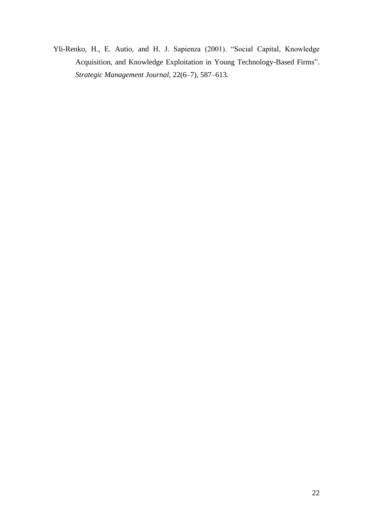Yli-Renko, H., E. Autio, and H. J. Sapienza (2001). "Social Capital, Knowledge Acquisition, and Knowledge Exploitation in Young Technology-Based Firms". *Strategic Management Journal*, 22(6–7), 587–613.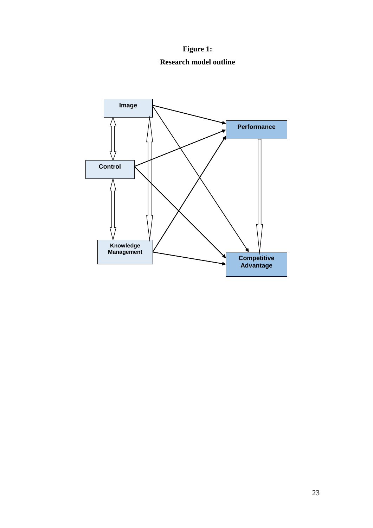**Figure 1: Research model outline**

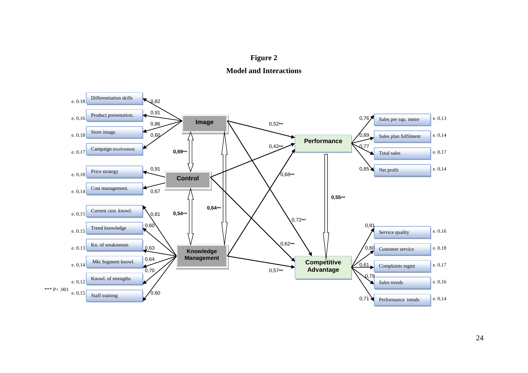



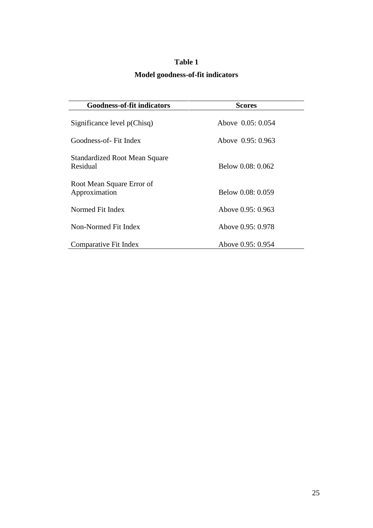# **Table 1**

# **Model goodness-of-fit indicators**

| <b>Goodness-of-fit indicators</b>                | <b>Scores</b>     |  |  |  |  |
|--------------------------------------------------|-------------------|--|--|--|--|
| Significance level p(Chisq)                      | Above 0.05: 0.054 |  |  |  |  |
| Goodness-of- Fit Index                           | Above 0.95: 0.963 |  |  |  |  |
| <b>Standardized Root Mean Square</b><br>Residual | Below 0.08: 0.062 |  |  |  |  |
| Root Mean Square Error of<br>Approximation       | Below 0.08: 0.059 |  |  |  |  |
| Normed Fit Index                                 | Above 0.95: 0.963 |  |  |  |  |
| Non-Normed Fit Index                             | Above 0.95: 0.978 |  |  |  |  |
| Comparative Fit Index                            | Above 0.95: 0.954 |  |  |  |  |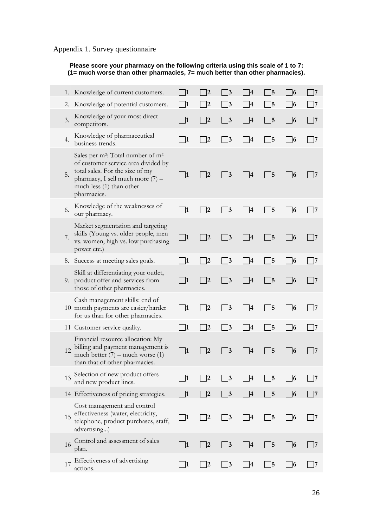## Appendix 1. Survey questionnaire

**Please score your pharmacy on the following criteria using this scale of 1 to 7: (1= much worse than other pharmacies, 7= much better than other pharmacies).**

| 1. | Knowledge of current customers.                                                                                                                                                                                    |                   |    | 3               |    | 5                       | 6               |    |
|----|--------------------------------------------------------------------------------------------------------------------------------------------------------------------------------------------------------------------|-------------------|----|-----------------|----|-------------------------|-----------------|----|
| 2. | Knowledge of potential customers.                                                                                                                                                                                  | 11                | 12 | 3               | 4  | 5                       | $\vert 6 \vert$ |    |
| 3. | Knowledge of your most direct<br>competitors.                                                                                                                                                                      | 1                 | 2  | 3               | 4  | 15                      | 6               | 17 |
| 4. | Knowledge of pharmaceutical<br>business trends.                                                                                                                                                                    | 1                 | 12 | $\vert 3$       | 14 | 15                      | $\overline{6}$  | 17 |
| 5. | Sales per m <sup>2</sup> : Total number of m <sup>2</sup><br>of customer service area divided by<br>total sales. For the size of my<br>pharmacy, I sell much more (7) -<br>much less (1) than other<br>pharmacies. | $\vert$ 1         | 2  | $\vert 3 \vert$ | 14 | 15                      | $\overline{6}$  |    |
| 6. | Knowledge of the weaknesses of<br>our pharmacy.                                                                                                                                                                    | $\lceil 1 \rceil$ | 12 | 3               |    | 5                       | 6               |    |
| 7. | Market segmentation and targeting<br>skills (Young vs. older people, men<br>vs. women, high vs. low purchasing<br>power etc.)                                                                                      | $\Box$ 1          | 2  | 3               | 14 | 15                      | 6               | l7 |
| 8. | Success at meeting sales goals.                                                                                                                                                                                    | 1                 | 12 | 3               | 4  | 15                      | 6               | 17 |
| 9. | Skill at differentiating your outlet,<br>product offer and services from<br>those of other pharmacies.                                                                                                             | 1                 | 12 | 3               | 14 | 15                      | 16              |    |
|    | Cash management skills: end of<br>10 month payments are easier/harder<br>for us than for other pharmacies.                                                                                                         | $\vert$ 1         | 12 | 3               | 4  | 15                      | 6               |    |
|    | 11 Customer service quality.                                                                                                                                                                                       | $\mathbf{11}$     | 12 | 3               | 14 | 15                      | 6               | 7  |
| 12 | Financial resource allocation: My<br>billing and payment management is<br>much better $(7)$ – much worse $(1)$<br>than that of other pharmacies.                                                                   | $\vert$  1        | 12 | 3               |    | 15                      | 6               |    |
| 13 | Selection of new product offers<br>and new product lines.                                                                                                                                                          | 11                |    |                 |    | 5                       | 6               |    |
|    | 14 Effectiveness of pricing strategies.                                                                                                                                                                            | 1                 | 2  | 3               | 4  | 5                       | 6               | 7  |
| 15 | Cost management and control<br>effectiveness (water, electricity,<br>telephone, product purchases, staff,<br>advertising)                                                                                          | $\vert$ 1         | 2  | $\vert 3$       | 14 | $\mathsf{\overline{5}}$ | $\vert$ 6       | 17 |
| 16 | Control and assessment of sales<br>plan.                                                                                                                                                                           | 1                 | 2  | 3               | 14 | 5                       | 6               | 17 |
| 17 | Effectiveness of advertising<br>actions.                                                                                                                                                                           | $\vert$ 1         | 2  | $\mathbf{3}$    | 4  | 5                       | 6               | 7  |